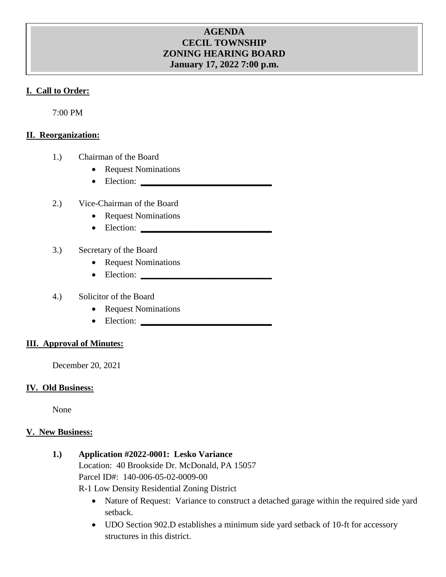# **AGENDA CECIL TOWNSHIP ZONING HEARING BOARD January 17, 2022 7:00 p.m.**

## **I. Call to Order:**

7:00 PM

## **II. Reorganization:**

- 1.) Chairman of the Board
	- Request Nominations
	- Election: **\_\_\_\_\_\_\_\_\_\_\_\_\_\_\_\_\_\_\_\_\_\_\_\_\_\_\_\_\_\_**

#### 2.) Vice-Chairman of the Board

- Request Nominations
- Election: **\_\_\_\_\_\_\_\_\_\_\_\_\_\_\_\_\_\_\_\_\_\_\_\_\_\_\_\_\_\_**

## 3.) Secretary of the Board

- Request Nominations
- Election: **\_\_\_\_\_\_\_\_\_\_\_\_\_\_\_\_\_\_\_\_\_\_\_\_\_\_\_\_\_\_**

## 4.) Solicitor of the Board

- Request Nominations
- Election: **\_\_\_\_\_\_\_\_\_\_\_\_\_\_\_\_\_\_\_\_\_\_\_\_\_\_\_\_\_\_**

#### **III. Approval of Minutes:**

December 20, 2021

#### **IV. Old Business:**

None

#### **V. New Business:**

**1.) Application #2022-0001: Lesko Variance**

Location: 40 Brookside Dr. McDonald, PA 15057 Parcel ID#: 140-006-05-02-0009-00

R-1 Low Density Residential Zoning District

- Nature of Request: Variance to construct a detached garage within the required side yard setback.
- UDO Section 902.D establishes a minimum side yard setback of 10-ft for accessory structures in this district.